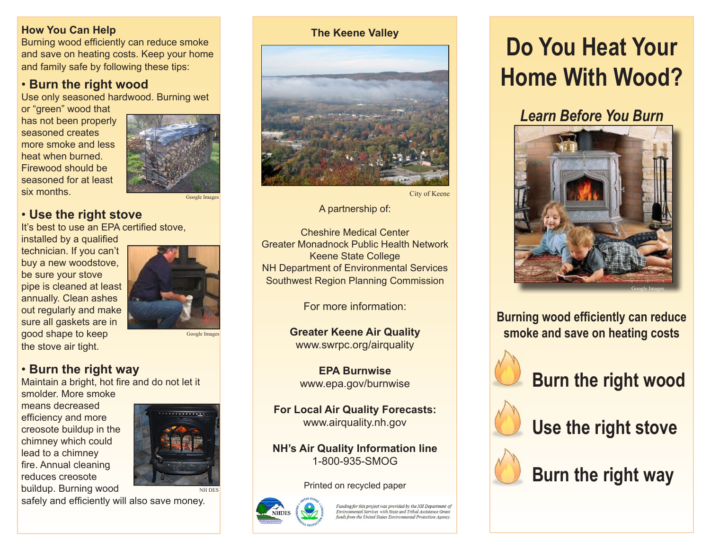#### **How You Can Help**

Burning wood efficiently can reduce smoke and save on heating costs. Keep your home and family safe by following these tips:

## • **Burn the right wood**

Use only seasoned hardwood. Burning wet

or "green" wood that has not been properly seasoned creates more smoke and less heat when burned. Firewood should be seasoned for at least six months.



#### Google Images

## • **Use the right stove**

It's best to use an EPA certified stove, installed by a qualified

technician. If you can't buy a new woodstove, be sure your stove pipe is cleaned at least annually. Clean ashes out regularly and make sure all gaskets are in good shape to keep the stove air tight.



Google Image

## • **Burn the right way**

Maintain a bright, hot fire and do not let it

smolder. More smoke means decreased efficiency and more creosote buildup in the chimney which could lead to a chimney fire. Annual cleaning reduces creosote buildup. Burning wood



safely and efficiently will also save money.



City of Keene

A partnership of:

Cheshire Medical Center Greater Monadnock Public Health Network Keene State College NH Department of Environmental Services Southwest Region Planning Commission

For more information:

**Greater Keene Air Quality** www.swrpc.org/airquality

**EPA Burnwise** www.epa.gov/burnwise

**For Local Air Quality Forecasts:** www.airquality.nh.gov

**NH's Air Quality Information line**  1-800-935-SMOG

#### Printed on recycled paper



Funding for this project was provided by the NH Department of<br>Environmental Services with State and Tribal Assistance Grant nds from the United States Emironmental Protection Agency

# **Do You Heat Your Home With Wood?**

# *Learn Before You Burn*



**Burning wood efficiently can reduce smoke and save on heating costs**



**Burn the right wood**



**Use the right stove**



**Burn the right way**